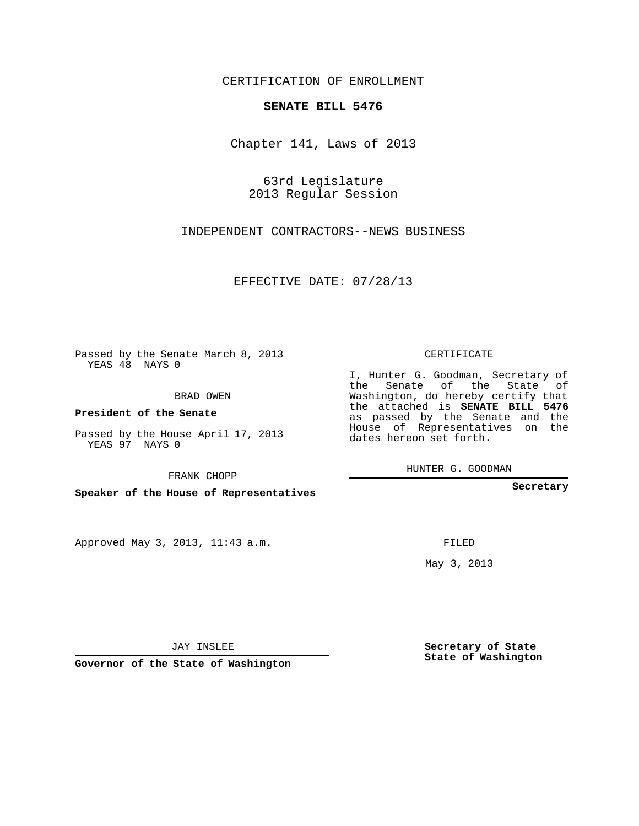## CERTIFICATION OF ENROLLMENT

## **SENATE BILL 5476**

Chapter 141, Laws of 2013

63rd Legislature 2013 Regular Session

INDEPENDENT CONTRACTORS--NEWS BUSINESS

EFFECTIVE DATE: 07/28/13

 $\sim 10^{-11}$ 

Passed by the Senate March 8, 2013 YEAS 48 NAYS 0

BRAD OWEN

**President of the Senate**

Passed by the House April 17, 2013 YEAS 97 NAYS 0

FRANK CHOPP

**Speaker of the House of Representatives**

Approved May 3, 2013, 11:43 a.m.

CERTIFICATE

I, Hunter G. Goodman, Secretary of the Senate of the State of Washington, do hereby certify that the attached is **SENATE BILL 5476** as passed by the Senate and the House of Representatives on the dates hereon set forth.

HUNTER G. GOODMAN

**Secretary**

FILED

May 3, 2013

**Secretary of State State of Washington**

JAY INSLEE

**Governor of the State of Washington**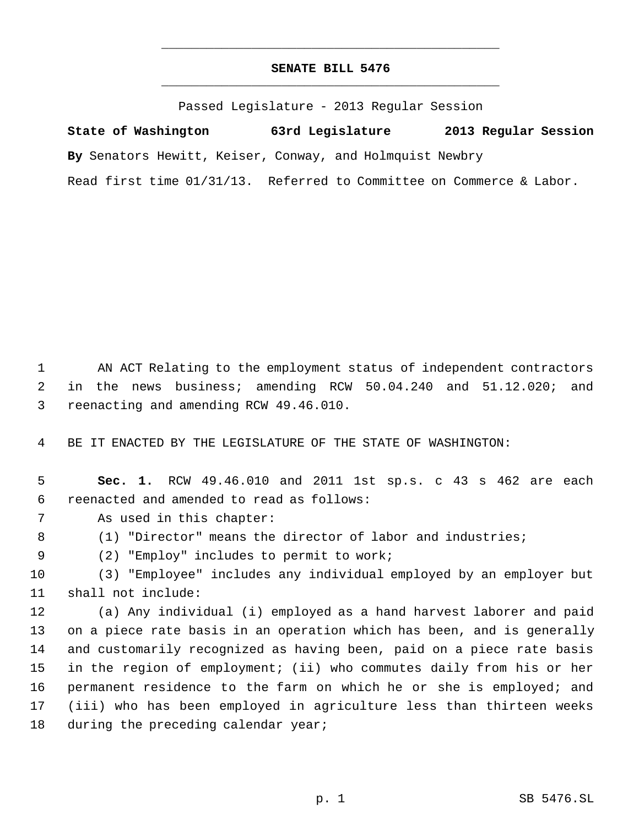## **SENATE BILL 5476** \_\_\_\_\_\_\_\_\_\_\_\_\_\_\_\_\_\_\_\_\_\_\_\_\_\_\_\_\_\_\_\_\_\_\_\_\_\_\_\_\_\_\_\_\_

\_\_\_\_\_\_\_\_\_\_\_\_\_\_\_\_\_\_\_\_\_\_\_\_\_\_\_\_\_\_\_\_\_\_\_\_\_\_\_\_\_\_\_\_\_

Passed Legislature - 2013 Regular Session

**State of Washington 63rd Legislature 2013 Regular Session By** Senators Hewitt, Keiser, Conway, and Holmquist Newbry Read first time 01/31/13. Referred to Committee on Commerce & Labor.

 AN ACT Relating to the employment status of independent contractors in the news business; amending RCW 50.04.240 and 51.12.020; and reenacting and amending RCW 49.46.010.

BE IT ENACTED BY THE LEGISLATURE OF THE STATE OF WASHINGTON:

 **Sec. 1.** RCW 49.46.010 and 2011 1st sp.s. c 43 s 462 are each reenacted and amended to read as follows:

- As used in this chapter:
- (1) "Director" means the director of labor and industries;

(2) "Employ" includes to permit to work;

 (3) "Employee" includes any individual employed by an employer but shall not include:

 (a) Any individual (i) employed as a hand harvest laborer and paid on a piece rate basis in an operation which has been, and is generally and customarily recognized as having been, paid on a piece rate basis in the region of employment; (ii) who commutes daily from his or her permanent residence to the farm on which he or she is employed; and (iii) who has been employed in agriculture less than thirteen weeks 18 during the preceding calendar year;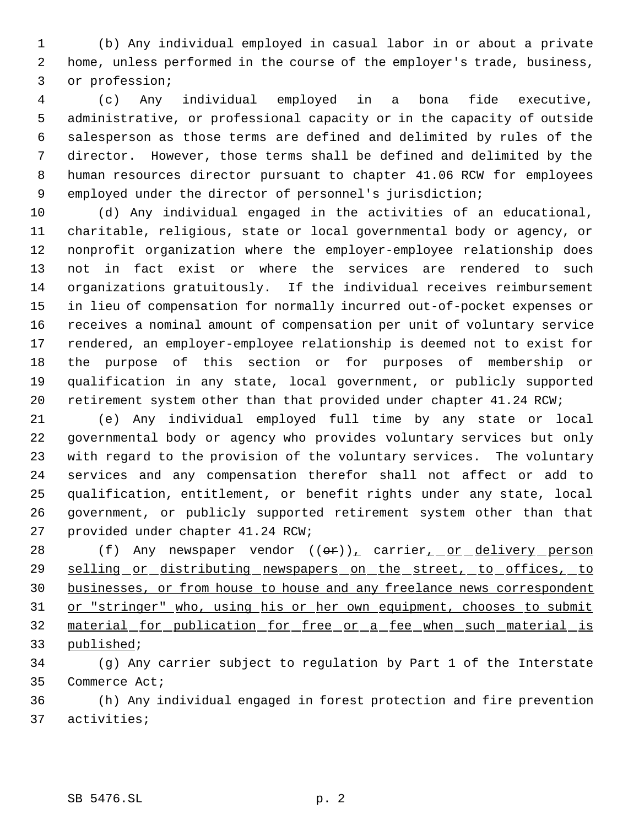(b) Any individual employed in casual labor in or about a private home, unless performed in the course of the employer's trade, business, or profession;

 (c) Any individual employed in a bona fide executive, administrative, or professional capacity or in the capacity of outside salesperson as those terms are defined and delimited by rules of the director. However, those terms shall be defined and delimited by the human resources director pursuant to chapter 41.06 RCW for employees employed under the director of personnel's jurisdiction;

 (d) Any individual engaged in the activities of an educational, charitable, religious, state or local governmental body or agency, or nonprofit organization where the employer-employee relationship does not in fact exist or where the services are rendered to such organizations gratuitously. If the individual receives reimbursement in lieu of compensation for normally incurred out-of-pocket expenses or receives a nominal amount of compensation per unit of voluntary service rendered, an employer-employee relationship is deemed not to exist for the purpose of this section or for purposes of membership or qualification in any state, local government, or publicly supported retirement system other than that provided under chapter 41.24 RCW;

 (e) Any individual employed full time by any state or local governmental body or agency who provides voluntary services but only with regard to the provision of the voluntary services. The voluntary services and any compensation therefor shall not affect or add to qualification, entitlement, or benefit rights under any state, local government, or publicly supported retirement system other than that provided under chapter 41.24 RCW;

28 (f) Any newspaper vendor  $((\theta \cdot \mathbf{r}))$ , carrier, or delivery person 29 selling or distributing newspapers on the street, to offices, to businesses, or from house to house and any freelance news correspondent 31 or "stringer" who, using his or her own equipment, chooses to submit material for publication for free or a fee when such material is published;

 (g) Any carrier subject to regulation by Part 1 of the Interstate Commerce Act;

 (h) Any individual engaged in forest protection and fire prevention activities;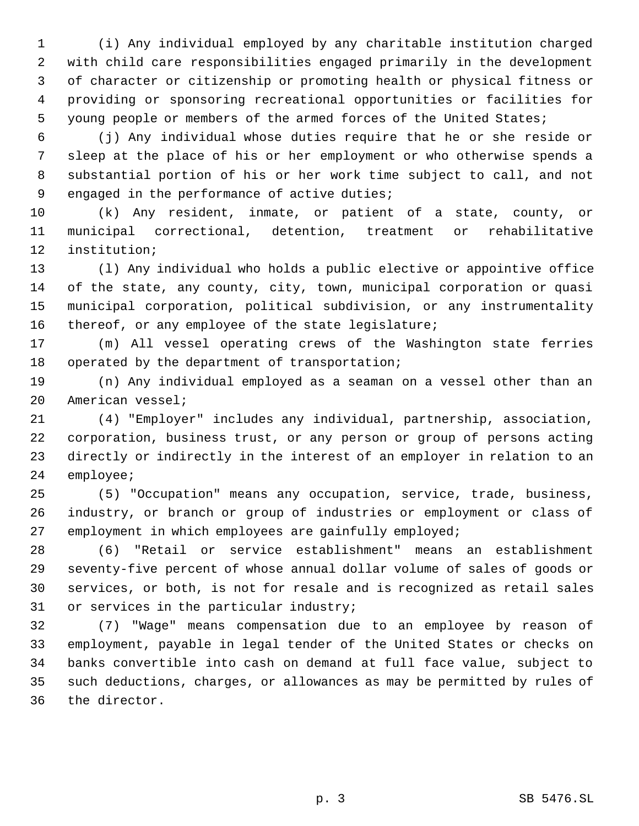(i) Any individual employed by any charitable institution charged with child care responsibilities engaged primarily in the development of character or citizenship or promoting health or physical fitness or providing or sponsoring recreational opportunities or facilities for young people or members of the armed forces of the United States;

 (j) Any individual whose duties require that he or she reside or sleep at the place of his or her employment or who otherwise spends a substantial portion of his or her work time subject to call, and not engaged in the performance of active duties;

 (k) Any resident, inmate, or patient of a state, county, or municipal correctional, detention, treatment or rehabilitative institution;

 (l) Any individual who holds a public elective or appointive office of the state, any county, city, town, municipal corporation or quasi municipal corporation, political subdivision, or any instrumentality thereof, or any employee of the state legislature;

 (m) All vessel operating crews of the Washington state ferries 18 operated by the department of transportation;

 (n) Any individual employed as a seaman on a vessel other than an American vessel;

 (4) "Employer" includes any individual, partnership, association, corporation, business trust, or any person or group of persons acting directly or indirectly in the interest of an employer in relation to an employee;

 (5) "Occupation" means any occupation, service, trade, business, industry, or branch or group of industries or employment or class of employment in which employees are gainfully employed;

 (6) "Retail or service establishment" means an establishment seventy-five percent of whose annual dollar volume of sales of goods or services, or both, is not for resale and is recognized as retail sales or services in the particular industry;

 (7) "Wage" means compensation due to an employee by reason of employment, payable in legal tender of the United States or checks on banks convertible into cash on demand at full face value, subject to such deductions, charges, or allowances as may be permitted by rules of the director.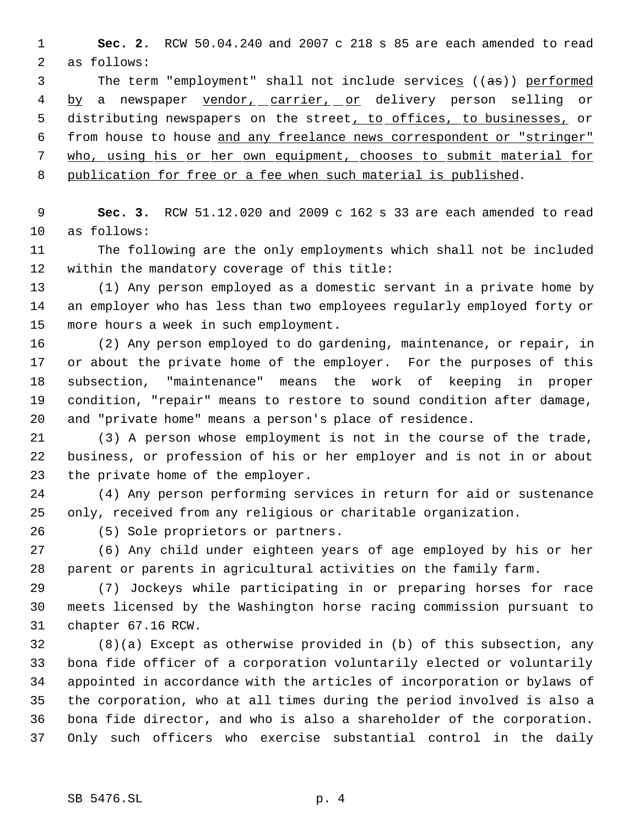**Sec. 2.** RCW 50.04.240 and 2007 c 218 s 85 are each amended to read as follows:

3 The term "employment" shall not include services ((as)) performed 4 by a newspaper vendor, carrier, or delivery person selling or 5 distributing newspapers on the street, to offices, to businesses, or from house to house and any freelance news correspondent or "stringer" who, using his or her own equipment, chooses to submit material for publication for free or a fee when such material is published.

 **Sec. 3.** RCW 51.12.020 and 2009 c 162 s 33 are each amended to read as follows:

 The following are the only employments which shall not be included within the mandatory coverage of this title:

 (1) Any person employed as a domestic servant in a private home by an employer who has less than two employees regularly employed forty or more hours a week in such employment.

 (2) Any person employed to do gardening, maintenance, or repair, in or about the private home of the employer. For the purposes of this subsection, "maintenance" means the work of keeping in proper condition, "repair" means to restore to sound condition after damage, and "private home" means a person's place of residence.

 (3) A person whose employment is not in the course of the trade, business, or profession of his or her employer and is not in or about the private home of the employer.

 (4) Any person performing services in return for aid or sustenance only, received from any religious or charitable organization.

(5) Sole proprietors or partners.

 (6) Any child under eighteen years of age employed by his or her parent or parents in agricultural activities on the family farm.

 (7) Jockeys while participating in or preparing horses for race meets licensed by the Washington horse racing commission pursuant to chapter 67.16 RCW.

 (8)(a) Except as otherwise provided in (b) of this subsection, any bona fide officer of a corporation voluntarily elected or voluntarily appointed in accordance with the articles of incorporation or bylaws of the corporation, who at all times during the period involved is also a bona fide director, and who is also a shareholder of the corporation. Only such officers who exercise substantial control in the daily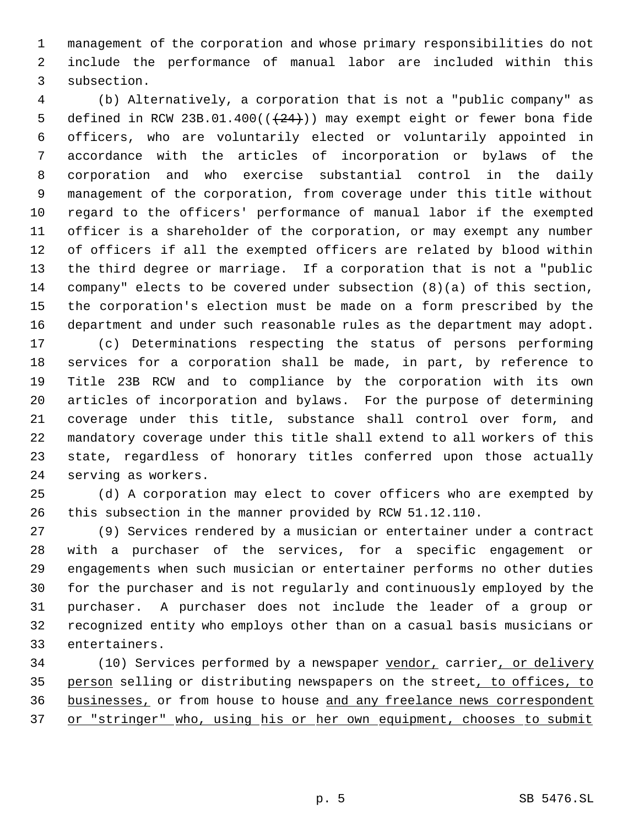management of the corporation and whose primary responsibilities do not include the performance of manual labor are included within this subsection.

 (b) Alternatively, a corporation that is not a "public company" as 5 defined in RCW 23B.01.400( $(+24)$ )) may exempt eight or fewer bona fide officers, who are voluntarily elected or voluntarily appointed in accordance with the articles of incorporation or bylaws of the corporation and who exercise substantial control in the daily management of the corporation, from coverage under this title without regard to the officers' performance of manual labor if the exempted officer is a shareholder of the corporation, or may exempt any number of officers if all the exempted officers are related by blood within the third degree or marriage. If a corporation that is not a "public company" elects to be covered under subsection (8)(a) of this section, the corporation's election must be made on a form prescribed by the department and under such reasonable rules as the department may adopt.

 (c) Determinations respecting the status of persons performing services for a corporation shall be made, in part, by reference to Title 23B RCW and to compliance by the corporation with its own articles of incorporation and bylaws. For the purpose of determining coverage under this title, substance shall control over form, and mandatory coverage under this title shall extend to all workers of this state, regardless of honorary titles conferred upon those actually serving as workers.

 (d) A corporation may elect to cover officers who are exempted by this subsection in the manner provided by RCW 51.12.110.

 (9) Services rendered by a musician or entertainer under a contract with a purchaser of the services, for a specific engagement or engagements when such musician or entertainer performs no other duties for the purchaser and is not regularly and continuously employed by the purchaser. A purchaser does not include the leader of a group or recognized entity who employs other than on a casual basis musicians or entertainers.

34 (10) Services performed by a newspaper vendor, carrier, or delivery 35 person selling or distributing newspapers on the street, to offices, to 36 businesses, or from house to house and any freelance news correspondent 37 or "stringer" who, using his or her own equipment, chooses to submit